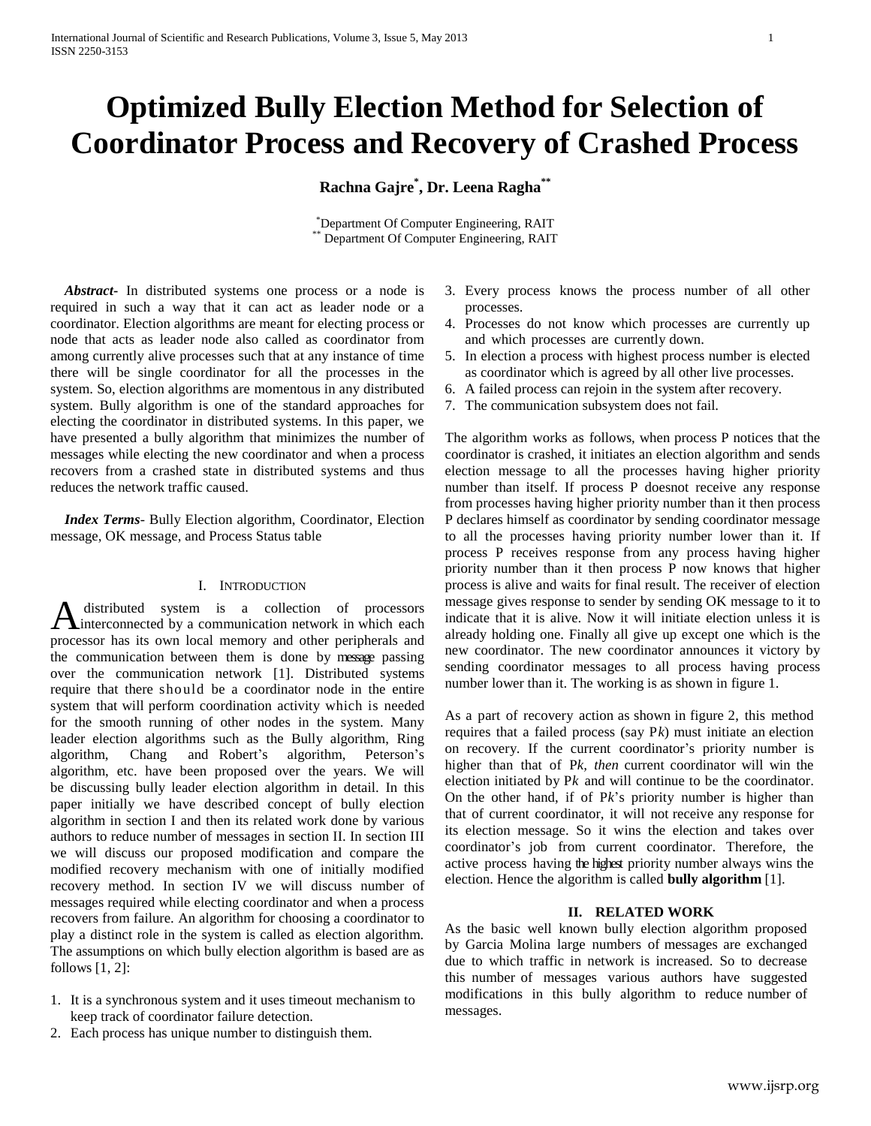# **Optimized Bully Election Method for Selection of Coordinator Process and Recovery of Crashed Process**

**Rachna Gajre\* , Dr. Leena Ragha\*\***

\*Department Of Computer Engineering, RAIT Department Of Computer Engineering, RAIT

 *Abstract***-** In distributed systems one process or a node is required in such a way that it can act as leader node or a coordinator. Election algorithms are meant for electing process or node that acts as leader node also called as coordinator from among currently alive processes such that at any instance of time there will be single coordinator for all the processes in the system. So, election algorithms are momentous in any distributed system. Bully algorithm is one of the standard approaches for electing the coordinator in distributed systems. In this paper, we have presented a bully algorithm that minimizes the number of messages while electing the new coordinator and when a process recovers from a crashed state in distributed systems and thus reduces the network traffic caused.

 *Index Terms*- Bully Election algorithm, Coordinator, Election message, OK message, and Process Status table

# I. INTRODUCTION

distributed system is a collection of processors A distributed system is a collection of processors<br> **A** interconnected by a communication network in which each processor has its own local memory and other peripherals and the communication between them is done by message passing over the communication network [1]. Distributed systems require that there should be a coordinator node in the entire system that will perform coordination activity which is needed for the smooth running of other nodes in the system. Many leader election algorithms such as the Bully algorithm, Ring algorithm, Chang and Robert's algorithm, Peterson's algorithm, etc. have been proposed over the years. We will be discussing bully leader election algorithm in detail. In this paper initially we have described concept of bully election algorithm in section I and then its related work done by various authors to reduce number of messages in section II. In section III we will discuss our proposed modification and compare the modified recovery mechanism with one of initially modified recovery method. In section IV we will discuss number of messages required while electing coordinator and when a process recovers from failure. An algorithm for choosing a coordinator to play a distinct role in the system is called as election algorithm. The assumptions on which bully election algorithm is based are as follows [1, 2]:

- 1. It is a synchronous system and it uses timeout mechanism to keep track of coordinator failure detection.
- 2. Each process has unique number to distinguish them.
- 3. Every process knows the process number of all other processes.
- 4. Processes do not know which processes are currently up and which processes are currently down.
- 5. In election a process with highest process number is elected as coordinator which is agreed by all other live processes.
- 6. A failed process can rejoin in the system after recovery.
- 7. The communication subsystem does not fail.

The algorithm works as follows, when process P notices that the coordinator is crashed, it initiates an election algorithm and sends election message to all the processes having higher priority number than itself. If process P doesnot receive any response from processes having higher priority number than it then process P declares himself as coordinator by sending coordinator message to all the processes having priority number lower than it. If process P receives response from any process having higher priority number than it then process P now knows that higher process is alive and waits for final result. The receiver of election message gives response to sender by sending OK message to it to indicate that it is alive. Now it will initiate election unless it is already holding one. Finally all give up except one which is the new coordinator. The new coordinator announces it victory by sending coordinator messages to all process having process number lower than it. The working is as shown in figure 1.

As a part of recovery action as shown in figure 2, this method requires that a failed process (say P*k*) must initiate an election on recovery. If the current coordinator's priority number is higher than that of P*k, then* current coordinator will win the election initiated by P*k* and will continue to be the coordinator. On the other hand, if of P*k*'s priority number is higher than that of current coordinator, it will not receive any response for its election message. So it wins the election and takes over coordinator's job from current coordinator. Therefore, the active process having the highest priority number always wins the election. Hence the algorithm is called **bully algorithm** [1].

## **II. RELATED WORK**

As the basic well known bully election algorithm proposed by Garcia Molina large numbers of messages are exchanged due to which traffic in network is increased. So to decrease this number of messages various authors have suggested modifications in this bully algorithm to reduce number of messages.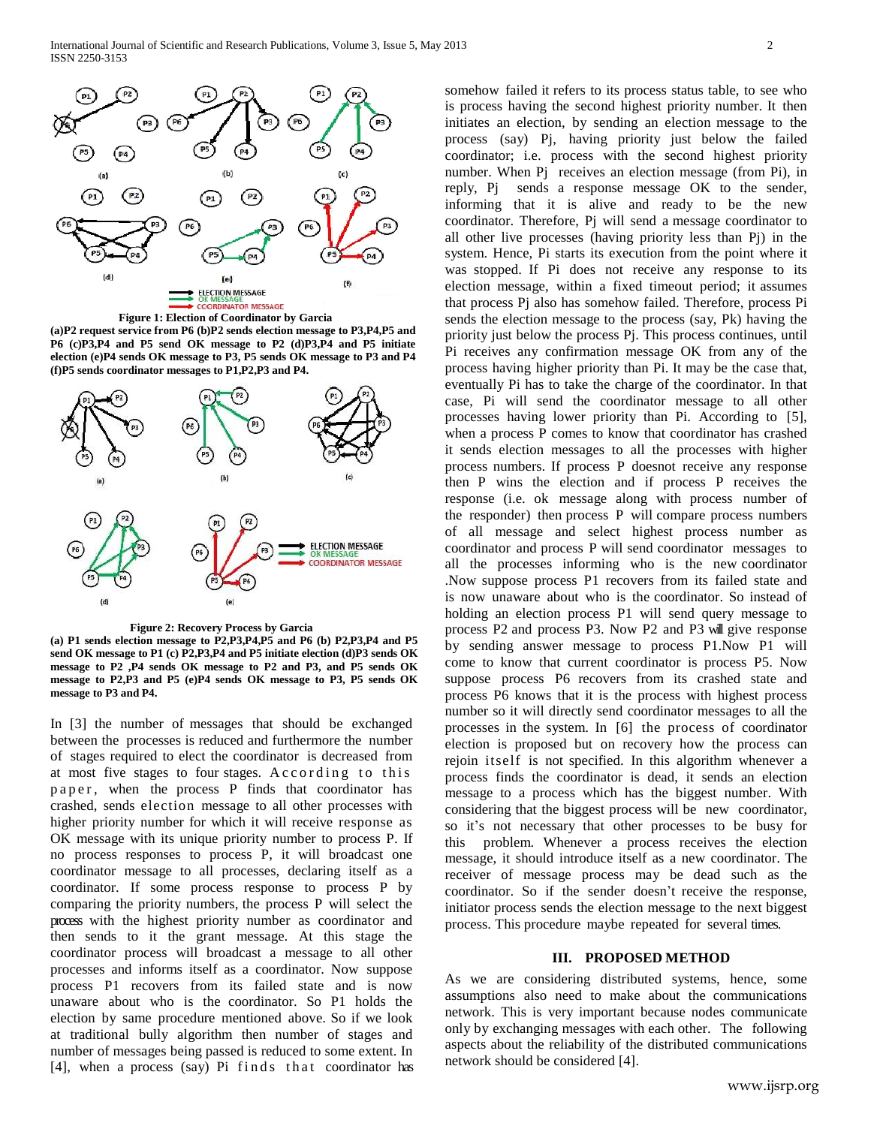



**(a)P2 request service from P6 (b)P2 sends election message to P3,P4,P5 and P6 (c)P3,P4 and P5 send OK message to P2 (d)P3,P4 and P5 initiate election (e)P4 sends OK message to P3, P5 sends OK message to P3 and P4 (f)P5 sends coordinator messages to P1,P2,P3 and P4.**



 **Figure 2: Recovery Process by Garcia**

**(a) P1 sends election message to P2,P3,P4,P5 and P6 (b) P2,P3,P4 and P5 send OK message to P1 (c) P2,P3,P4 and P5 initiate election (d)P3 sends OK message to P2 ,P4 sends OK message to P2 and P3, and P5 sends OK message to P2,P3 and P5 (e)P4 sends OK message to P3, P5 sends OK message to P3 and P4.**

In [3] the number of messages that should be exchanged between the processes is reduced and furthermore the number of stages required to elect the coordinator is decreased from at most five stages to four stages. According to this paper, when the process P finds that coordinator has crashed, sends election message to all other processes with higher priority number for which it will receive response as OK message with its unique priority number to process P. If no process responses to process P, it will broadcast one coordinator message to all processes, declaring itself as a coordinator. If some process response to process P by comparing the priority numbers, the process P will select the process with the highest priority number as coordinator and then sends to it the grant message. At this stage the coordinator process will broadcast a message to all other processes and informs itself as a coordinator. Now suppose process P1 recovers from its failed state and is now unaware about who is the coordinator. So P1 holds the election by same procedure mentioned above. So if we look at traditional bully algorithm then number of stages and number of messages being passed is reduced to some extent. In  $[4]$ , when a process (say) Pi finds that coordinator has somehow failed it refers to its process status table, to see who is process having the second highest priority number. It then initiates an election, by sending an election message to the process (say) Pj, having priority just below the failed coordinator; i.e. process with the second highest priority number. When Pj receives an election message (from Pi), in reply, Pj sends a response message OK to the sender, informing that it is alive and ready to be the new coordinator. Therefore, Pj will send a message coordinator to all other live processes (having priority less than Pj) in the system. Hence, Pi starts its execution from the point where it was stopped. If Pi does not receive any response to its election message, within a fixed timeout period; it assumes that process Pj also has somehow failed. Therefore, process Pi sends the election message to the process (say, Pk) having the priority just below the process Pj. This process continues, until Pi receives any confirmation message OK from any of the process having higher priority than Pi. It may be the case that, eventually Pi has to take the charge of the coordinator. In that case, Pi will send the coordinator message to all other processes having lower priority than Pi. According to [5], when a process P comes to know that coordinator has crashed it sends election messages to all the processes with higher process numbers. If process P doesnot receive any response then P wins the election and if process P receives the response (i.e. ok message along with process number of the responder) then process P will compare process numbers of all message and select highest process number as coordinator and process P will send coordinator messages to all the processes informing who is the new coordinator .Now suppose process P1 recovers from its failed state and is now unaware about who is the coordinator. So instead of holding an election process P1 will send query message to process P2 and process P3. Now P2 and P3 will give response by sending answer message to process P1.Now P1 will come to know that current coordinator is process P5. Now suppose process P6 recovers from its crashed state and process P6 knows that it is the process with highest process number so it will directly send coordinator messages to all the processes in the system. In [6] the process of coordinator election is proposed but on recovery how the process can rejoin itself is not specified. In this algorithm whenever a process finds the coordinator is dead, it sends an election message to a process which has the biggest number. With considering that the biggest process will be new coordinator, so it's not necessary that other processes to be busy for this problem. Whenever a process receives the election message, it should introduce itself as a new coordinator. The receiver of message process may be dead such as the coordinator. So if the sender doesn't receive the response, initiator process sends the election message to the next biggest process. This procedure maybe repeated for several times.

#### **III. PROPOSED METHOD**

As we are considering distributed systems, hence, some assumptions also need to make about the communications network. This is very important because nodes communicate only by exchanging messages with each other. The following aspects about the reliability of the distributed communications network should be considered [4].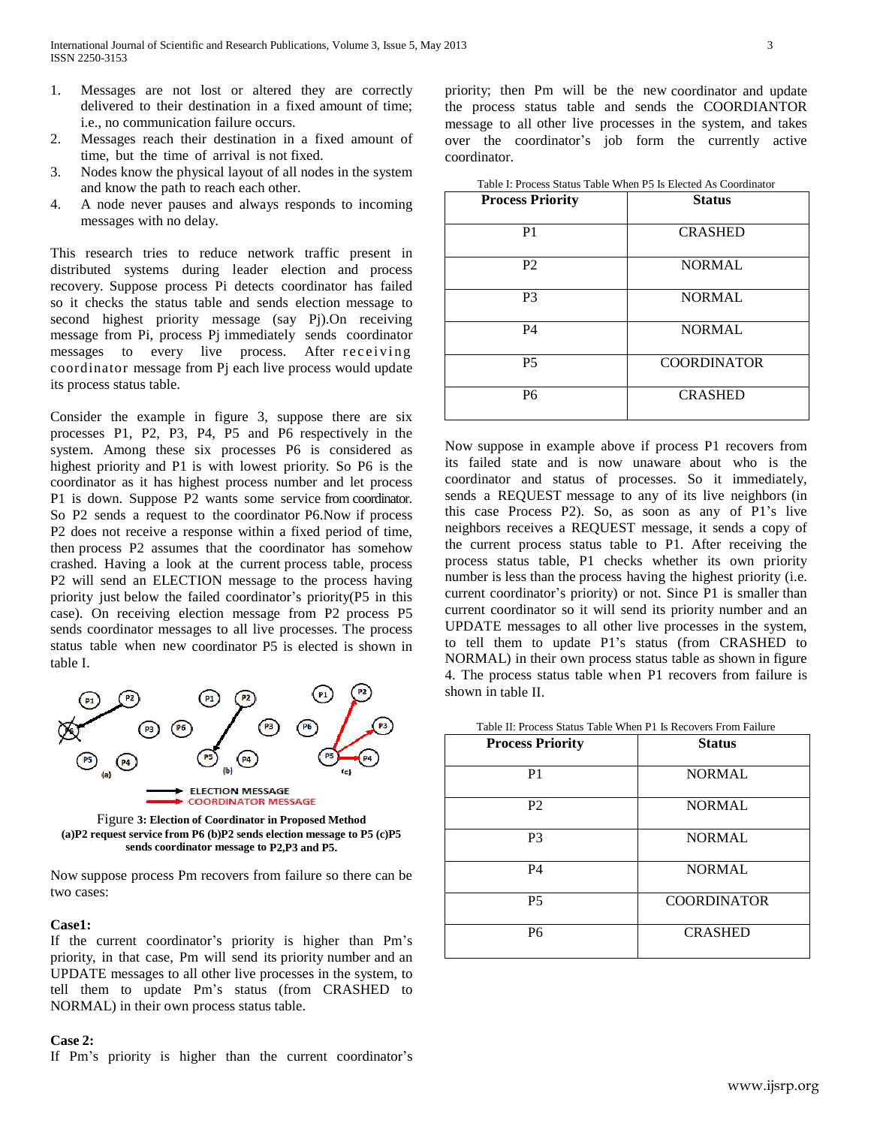- 1. Messages are not lost or altered they are correctly delivered to their destination in a fixed amount of time; i.e., no communication failure occurs.
- 2. Messages reach their destination in a fixed amount of time, but the time of arrival is not fixed.
- 3. Nodes know the physical layout of all nodes in the system and know the path to reach each other.
- 4. A node never pauses and always responds to incoming messages with no delay.

This research tries to reduce network traffic present in distributed systems during leader election and process recovery. Suppose process Pi detects coordinator has failed so it checks the status table and sends election message to second highest priority message (say Pj).On receiving message from Pi, process Pj immediately sends coordinator messages to every live process. After receiving coordinator message from Pj each live process would update its process status table.

Consider the example in figure 3, suppose there are six processes P1, P2, P3, P4, P5 and P6 respectively in the system. Among these six processes P6 is considered as highest priority and P1 is with lowest priority. So P6 is the coordinator as it has highest process number and let process P1 is down. Suppose P2 wants some service from coordinator. So P2 sends a request to the coordinator P6.Now if process P2 does not receive a response within a fixed period of time, then process P2 assumes that the coordinator has somehow crashed. Having a look at the current process table, process P2 will send an ELECTION message to the process having priority just below the failed coordinator's priority(P5 in this case). On receiving election message from P2 process P5 sends coordinator messages to all live processes. The process status table when new coordinator P5 is elected is shown in table I.



Figure **3: Election of Coordinator in Proposed Method (a)P2 request service from P6 (b)P2 sends election message to P5 (c)P5 sends coordinator message to P2,P3 and P5.**

Now suppose process Pm recovers from failure so there can be two cases:

### **Case1:**

If the current coordinator's priority is higher than Pm's priority, in that case, Pm will send its priority number and an UPDATE messages to all other live processes in the system, to tell them to update Pm's status (from CRASHED to NORMAL) in their own process status table.

## **Case 2:**

If Pm's priority is higher than the current coordinator's

priority; then Pm will be the new coordinator and update the process status table and sends the COORDIANTOR message to all other live processes in the system, and takes over the coordinator's job form the currently active coordinator.

| <b>Process Priority</b> | <b>Status</b>      |
|-------------------------|--------------------|
| P <sub>1</sub>          | <b>CRASHED</b>     |
| P <sub>2</sub>          | <b>NORMAL</b>      |
| P <sub>3</sub>          | <b>NORMAL</b>      |
| <b>P4</b>               | <b>NORMAL</b>      |
| <b>P5</b>               | <b>COORDINATOR</b> |
| P6                      | <b>CRASHED</b>     |

Table I: Process Status Table When P5 Is Elected As Coordinator

Now suppose in example above if process P1 recovers from its failed state and is now unaware about who is the coordinator and status of processes. So it immediately, sends a REQUEST message to any of its live neighbors (in this case Process P2). So, as soon as any of P1's live neighbors receives a REQUEST message, it sends a copy of the current process status table to P1. After receiving the process status table, P1 checks whether its own priority number is less than the process having the highest priority (i.e. current coordinator's priority) or not. Since P1 is smaller than current coordinator so it will send its priority number and an UPDATE messages to all other live processes in the system, to tell them to update P1's status (from CRASHED to NORMAL) in their own process status table as shown in figure 4. The process status table when P1 recovers from failure is shown in table II.

| <b>Process Priority</b> | <b>Status</b>      |
|-------------------------|--------------------|
| P1                      | <b>NORMAL</b>      |
| P <sub>2</sub>          | <b>NORMAL</b>      |
| P <sub>3</sub>          | <b>NORMAL</b>      |
| P4                      | <b>NORMAL</b>      |
| <b>P5</b>               | <b>COORDINATOR</b> |
| P6                      | <b>CRASHED</b>     |

#### Table II: Process Status Table When P1 Is Recovers From Failure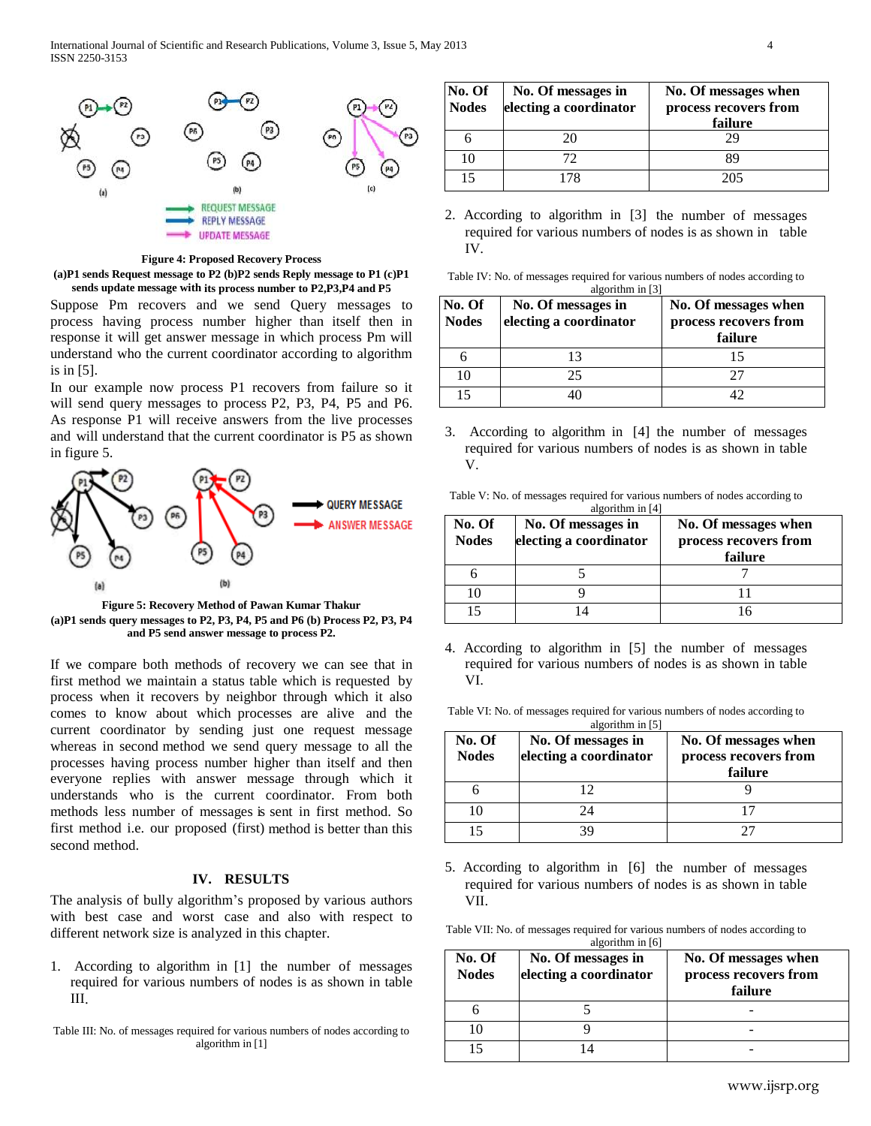

**Figure 4: Proposed Recovery Process (a)P1 sends Request message to P2 (b)P2 sends Reply message to P1 (c)P1**

**sends update message with its process number to P2,P3,P4 and P5**

Suppose Pm recovers and we send Query messages to process having process number higher than itself then in response it will get answer message in which process Pm will understand who the current coordinator according to algorithm is in [5].

In our example now process P1 recovers from failure so it will send query messages to process P2, P3, P4, P5 and P6. As response P1 will receive answers from the live processes and will understand that the current coordinator is P5 as shown in figure 5.



**Figure 5: Recovery Method of Pawan Kumar Thakur (a)P1 sends query messages to P2, P3, P4, P5 and P6 (b) Process P2, P3, P4 and P5 send answer message to process P2.**

If we compare both methods of recovery we can see that in first method we maintain a status table which is requested by process when it recovers by neighbor through which it also comes to know about which processes are alive and the current coordinator by sending just one request message whereas in second method we send query message to all the processes having process number higher than itself and then everyone replies with answer message through which it understands who is the current coordinator. From both methods less number of messages is sent in first method. So first method i.e. our proposed (first) method is better than this second method.

# **IV. RESULTS**

The analysis of bully algorithm's proposed by various authors with best case and worst case and also with respect to different network size is analyzed in this chapter.

1. According to algorithm in [1] the number of messages required for various numbers of nodes is as shown in table III.

Table III: No. of messages required for various numbers of nodes according to algorithm in [1]

| No. Of<br><b>Nodes</b> | No. Of messages in<br>electing a coordinator | No. Of messages when<br>process recovers from<br>failure |
|------------------------|----------------------------------------------|----------------------------------------------------------|
|                        | 20                                           | 29                                                       |
| 10                     | 72                                           | 89                                                       |
|                        | 178                                          | 205                                                      |

2. According to algorithm in [3] the number of messages required for various numbers of nodes is as shown in table IV.

| No. Of<br><b>Nodes</b> | algorithm in [3]<br>No. Of messages in<br>electing a coordinator | No. Of messages when<br>process recovers from<br>failure |  |  |
|------------------------|------------------------------------------------------------------|----------------------------------------------------------|--|--|
|                        | 13                                                               | 15                                                       |  |  |
| 10                     | 25                                                               | 77                                                       |  |  |
|                        |                                                                  |                                                          |  |  |

3. According to algorithm in [4] the number of messages required for various numbers of nodes is as shown in table V.

| Table V: No. of messages required for various numbers of nodes according to |  |  |  |  |
|-----------------------------------------------------------------------------|--|--|--|--|
|                                                                             |  |  |  |  |

| No. Of<br><b>Nodes</b> | No. Of messages in<br>electing a coordinator | No. Of messages when<br>process recovers from<br>failure |  |
|------------------------|----------------------------------------------|----------------------------------------------------------|--|
|                        |                                              |                                                          |  |
| 10                     |                                              |                                                          |  |
|                        |                                              |                                                          |  |

4. According to algorithm in [5] the number of messages required for various numbers of nodes is as shown in table VI.

| No. Of<br><b>Nodes</b> | No. Of messages in<br>electing a coordinator | No. Of messages when<br>process recovers from<br>failure |  |  |
|------------------------|----------------------------------------------|----------------------------------------------------------|--|--|
| h                      |                                              |                                                          |  |  |
| 10                     |                                              |                                                          |  |  |
| 15                     |                                              |                                                          |  |  |

5. According to algorithm in [6] the number of messages required for various numbers of nodes is as shown in table VII.

Table VII: No. of messages required for various numbers of nodes according to algorithm in [6]

| No. Of<br><b>Nodes</b> | No. Of messages in<br>electing a coordinator | No. Of messages when<br>process recovers from<br>failure |  |  |
|------------------------|----------------------------------------------|----------------------------------------------------------|--|--|
|                        |                                              |                                                          |  |  |
| 10                     |                                              |                                                          |  |  |
| 15                     |                                              |                                                          |  |  |